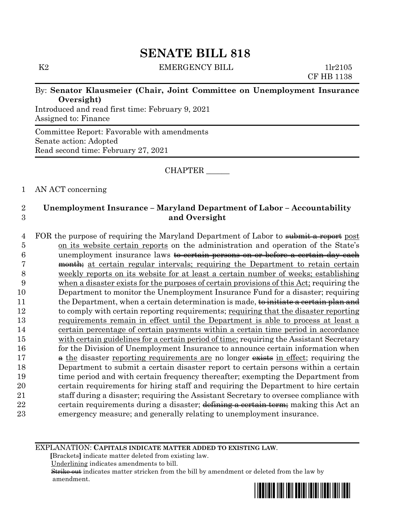$K2$  EMERGENCY BILL 1lr2105

CF HB 1138

## By: **Senator Klausmeier (Chair, Joint Committee on Unemployment Insurance Oversight)**

Introduced and read first time: February 9, 2021 Assigned to: Finance

Committee Report: Favorable with amendments Senate action: Adopted Read second time: February 27, 2021

CHAPTER \_\_\_\_\_\_

## 1 AN ACT concerning

# 2 **Unemployment Insurance – Maryland Department of Labor – Accountability**  3 **and Oversight**

4 FOR the purpose of requiring the Maryland Department of Labor to submit a report post on its website certain reports on the administration and operation of the State's unemployment insurance laws to certain persons on or before a certain day each 7 month, at certain regular intervals; requiring the Department to retain certain weekly reports on its website for at least a certain number of weeks; establishing when a disaster exists for the purposes of certain provisions of this Act; requiring the Department to monitor the Unemployment Insurance Fund for a disaster; requiring 11 the Department, when a certain determination is made, to initiate a certain plan and to comply with certain reporting requirements; requiring that the disaster reporting requirements remain in effect until the Department is able to process at least a certain percentage of certain payments within a certain time period in accordance 15 with certain guidelines for a certain period of time; requiring the Assistant Secretary 16 for the Division of Unemployment Insurance to announce certain information when 17 a the disaster reporting requirements are no longer exists in effect; requiring the Department to submit a certain disaster report to certain persons within a certain time period and with certain frequency thereafter; exempting the Department from certain requirements for hiring staff and requiring the Department to hire certain staff during a disaster; requiring the Assistant Secretary to oversee compliance with 22 certain requirements during a disaster; defining a certain term; making this Act an emergency measure; and generally relating to unemployment insurance.

EXPLANATION: **CAPITALS INDICATE MATTER ADDED TO EXISTING LAW**.

 **[**Brackets**]** indicate matter deleted from existing law.

Underlining indicates amendments to bill.

 Strike out indicates matter stricken from the bill by amendment or deleted from the law by amendment.

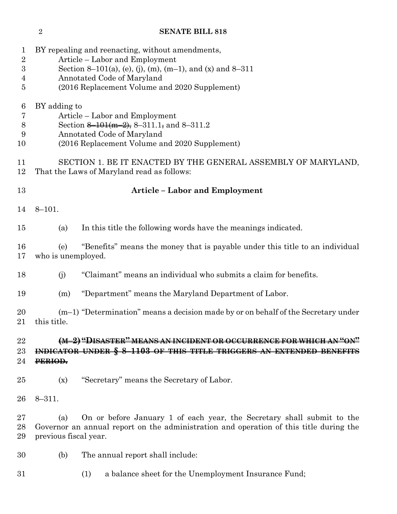| 1<br>$\sqrt{2}$<br>3<br>$\overline{4}$<br>5 |                                                                                                                                                                                                  | BY repealing and reenacting, without amendments,<br>Article – Labor and Employment<br>Section 8-101(a), (e), (j), (m), (m-1), and (x) and 8-311<br>Annotated Code of Maryland<br>(2016 Replacement Volume and 2020 Supplement) |  |
|---------------------------------------------|--------------------------------------------------------------------------------------------------------------------------------------------------------------------------------------------------|--------------------------------------------------------------------------------------------------------------------------------------------------------------------------------------------------------------------------------|--|
| 6<br>7<br>8<br>9<br>10                      | BY adding to<br>Article – Labor and Employment<br>Section 8-101(m-2), 8-311.1, and 8-311.2<br>Annotated Code of Maryland<br>(2016 Replacement Volume and 2020 Supplement)                        |                                                                                                                                                                                                                                |  |
| 11<br>12                                    | SECTION 1. BE IT ENACTED BY THE GENERAL ASSEMBLY OF MARYLAND,<br>That the Laws of Maryland read as follows:                                                                                      |                                                                                                                                                                                                                                |  |
| 13                                          | <b>Article - Labor and Employment</b>                                                                                                                                                            |                                                                                                                                                                                                                                |  |
| 14                                          | $8 - 101.$                                                                                                                                                                                       |                                                                                                                                                                                                                                |  |
| 15                                          | (a)                                                                                                                                                                                              | In this title the following words have the meanings indicated.                                                                                                                                                                 |  |
| 16<br>17                                    | "Benefits" means the money that is payable under this title to an individual<br>(e)<br>who is unemployed.                                                                                        |                                                                                                                                                                                                                                |  |
| 18                                          | (j)                                                                                                                                                                                              | "Claimant" means an individual who submits a claim for benefits.                                                                                                                                                               |  |
| 19                                          | (m)                                                                                                                                                                                              | "Department" means the Maryland Department of Labor.                                                                                                                                                                           |  |
| 20<br>21                                    | this title.                                                                                                                                                                                      | $(m-1)$ "Determination" means a decision made by or on behalf of the Secretary under                                                                                                                                           |  |
| 22<br>23<br>24                              | (M-2) "DISASTER" MEANS AN INCIDENT OR OCCURRENCE FOR WHICH AN<br>INDICATOR UNDER § 8-1103 OF THIS TITLE TRIGGERS AN EXTENDED BENEF<br>PERIOD.                                                    |                                                                                                                                                                                                                                |  |
| 25                                          | (x)                                                                                                                                                                                              | "Secretary" means the Secretary of Labor.                                                                                                                                                                                      |  |
| 26                                          | $8 - 311.$                                                                                                                                                                                       |                                                                                                                                                                                                                                |  |
| 27<br>28<br>29                              | On or before January 1 of each year, the Secretary shall submit to the<br>(a)<br>Governor an annual report on the administration and operation of this title during the<br>previous fiscal year. |                                                                                                                                                                                                                                |  |
| 30                                          | (b)                                                                                                                                                                                              | The annual report shall include:                                                                                                                                                                                               |  |
| 31                                          |                                                                                                                                                                                                  | a balance sheet for the Unemployment Insurance Fund;<br>(1)                                                                                                                                                                    |  |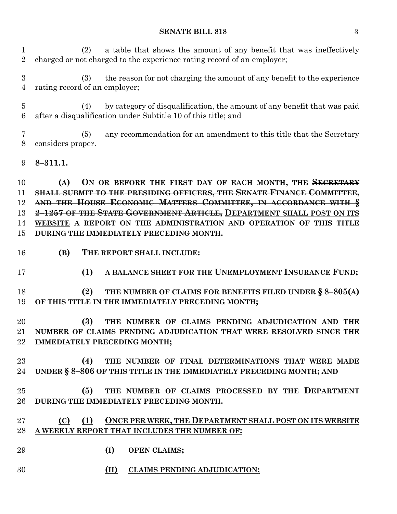#### **SENATE BILL 818** 3

 (2) a table that shows the amount of any benefit that was ineffectively charged or not charged to the experience rating record of an employer;

 (3) the reason for not charging the amount of any benefit to the experience rating record of an employer;

 (4) by category of disqualification, the amount of any benefit that was paid after a disqualification under Subtitle 10 of this title; and

 (5) any recommendation for an amendment to this title that the Secretary considers proper.

**8–311.1.**

 **(A) ON OR BEFORE THE FIRST DAY OF EACH MONTH, THE SECRETARY SHALL SUBMIT TO THE PRESIDING OFFICERS, THE SENATE FINANCE COMMITTEE, AND THE HOUSE ECONOMIC MATTERS COMMITTEE, IN ACCORDANCE WITH § 2–1257 OF THE STATE GOVERNMENT ARTICLE, DEPARTMENT SHALL POST ON ITS WEBSITE A REPORT ON THE ADMINISTRATION AND OPERATION OF THIS TITLE DURING THE IMMEDIATELY PRECEDING MONTH.**

- **(B) THE REPORT SHALL INCLUDE:**
- **(1) A BALANCE SHEET FOR THE UNEMPLOYMENT INSURANCE FUND;**

 **(2) THE NUMBER OF CLAIMS FOR BENEFITS FILED UNDER § 8–805(A) OF THIS TITLE IN THE IMMEDIATELY PRECEDING MONTH;**

 **(3) THE NUMBER OF CLAIMS PENDING ADJUDICATION AND THE NUMBER OF CLAIMS PENDING ADJUDICATION THAT WERE RESOLVED SINCE THE IMMEDIATELY PRECEDING MONTH;**

 **(4) THE NUMBER OF FINAL DETERMINATIONS THAT WERE MADE UNDER § 8–806 OF THIS TITLE IN THE IMMEDIATELY PRECEDING MONTH; AND**

 **(5) THE NUMBER OF CLAIMS PROCESSED BY THE DEPARTMENT DURING THE IMMEDIATELY PRECEDING MONTH.**

# **(C) (1) ONCE PER WEEK, THE DEPARTMENT SHALL POST ON ITS WEBSITE A WEEKLY REPORT THAT INCLUDES THE NUMBER OF:**

- **(I) OPEN CLAIMS;**
- **(II) CLAIMS PENDING ADJUDICATION;**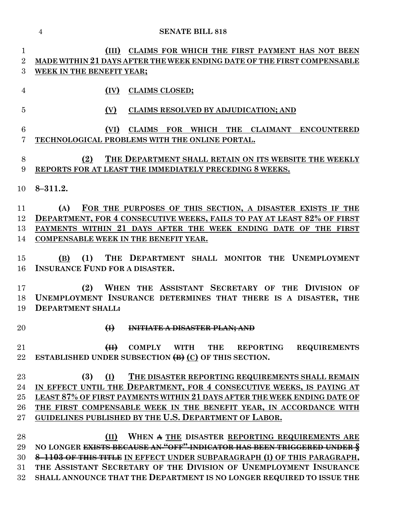**(III) CLAIMS FOR WHICH THE FIRST PAYMENT HAS NOT BEEN MADE WITHIN 21 DAYS AFTER THE WEEK ENDING DATE OF THE FIRST COMPENSABLE WEEK IN THE BENEFIT YEAR; (IV) CLAIMS CLOSED; (V) CLAIMS RESOLVED BY ADJUDICATION; AND (VI) CLAIMS FOR WHICH THE CLAIMANT ENCOUNTERED TECHNOLOGICAL PROBLEMS WITH THE ONLINE PORTAL. (2) THE DEPARTMENT SHALL RETAIN ON ITS WEBSITE THE WEEKLY REPORTS FOR AT LEAST THE IMMEDIATELY PRECEDING 8 WEEKS. 8–311.2. (A) FOR THE PURPOSES OF THIS SECTION, A DISASTER EXISTS IF THE DEPARTMENT, FOR 4 CONSECUTIVE WEEKS, FAILS TO PAY AT LEAST 82% OF FIRST PAYMENTS WITHIN 21 DAYS AFTER THE WEEK ENDING DATE OF THE FIRST COMPENSABLE WEEK IN THE BENEFIT YEAR. (B) (1) THE DEPARTMENT SHALL MONITOR THE UNEMPLOYMENT INSURANCE FUND FOR A DISASTER. (2) WHEN THE ASSISTANT SECRETARY OF THE DIVISION OF UNEMPLOYMENT INSURANCE DETERMINES THAT THERE IS A DISASTER, THE DEPARTMENT SHALL: (I) INITIATE A DISASTER PLAN; AND (II) COMPLY WITH THE REPORTING REQUIREMENTS ESTABLISHED UNDER SUBSECTION (B) (C) OF THIS SECTION. (3) (I) THE DISASTER REPORTING REQUIREMENTS SHALL REMAIN IN EFFECT UNTIL THE DEPARTMENT, FOR 4 CONSECUTIVE WEEKS, IS PAYING AT LEAST 87% OF FIRST PAYMENTS WITHIN 21 DAYS AFTER THE WEEK ENDING DATE OF THE FIRST COMPENSABLE WEEK IN THE BENEFIT YEAR, IN ACCORDANCE WITH GUIDELINES PUBLISHED BY THE U.S. DEPARTMENT OF LABOR. (II) WHEN A THE DISASTER REPORTING REQUIREMENTS ARE NO LONGER EXISTS BECAUSE AN "OFF" INDICATOR HAS BEEN TRIGGERED UNDER §**

 **8–1103 OF THIS TITLE IN EFFECT UNDER SUBPARAGRAPH (I) OF THIS PARAGRAPH, THE ASSISTANT SECRETARY OF THE DIVISION OF UNEMPLOYMENT INSURANCE SHALL ANNOUNCE THAT THE DEPARTMENT IS NO LONGER REQUIRED TO ISSUE THE**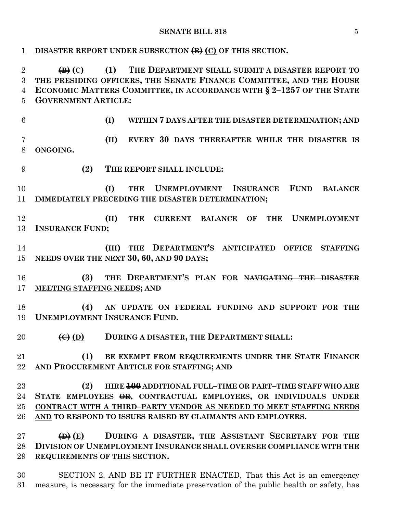### **SENATE BILL 818** 5

| $\mathbf{1}$                               | DISASTER REPORT UNDER SUBSECTION (B) (C) OF THIS SECTION.                                                                                                                                                                                                                                                                                                                                                                                                                                                                                  |  |
|--------------------------------------------|--------------------------------------------------------------------------------------------------------------------------------------------------------------------------------------------------------------------------------------------------------------------------------------------------------------------------------------------------------------------------------------------------------------------------------------------------------------------------------------------------------------------------------------------|--|
| $\overline{2}$<br>3<br>$\overline{4}$<br>5 | $\left( \mathbf{B} \right)$ (C)<br>(1)<br>THE DEPARTMENT SHALL SUBMIT A DISASTER REPORT TO<br>THE PRESIDING OFFICERS, THE SENATE FINANCE COMMITTEE, AND THE HOUSE<br>ECONOMIC MATTERS COMMITTEE, IN ACCORDANCE WITH § 2-1257 OF THE STATE<br><b>GOVERNMENT ARTICLE:</b>                                                                                                                                                                                                                                                                    |  |
| $6\phantom{.}6$                            | (I)<br>WITHIN 7 DAYS AFTER THE DISASTER DETERMINATION; AND                                                                                                                                                                                                                                                                                                                                                                                                                                                                                 |  |
| $\overline{7}$<br>8                        | (II)<br>EVERY 30 DAYS THEREAFTER WHILE THE DISASTER IS<br>ONGOING.                                                                                                                                                                                                                                                                                                                                                                                                                                                                         |  |
| 9                                          | (2)<br>THE REPORT SHALL INCLUDE:                                                                                                                                                                                                                                                                                                                                                                                                                                                                                                           |  |
| 10<br>11                                   | UNEMPLOYMENT INSURANCE<br><b>FUND</b><br>(I)<br><b>THE</b><br><b>BALANCE</b><br>IMMEDIATELY PRECEDING THE DISASTER DETERMINATION;                                                                                                                                                                                                                                                                                                                                                                                                          |  |
| 12<br>13                                   | <b>UNEMPLOYMENT</b><br>(II)<br><b>THE</b><br><b>CURRENT</b><br><b>BALANCE</b><br>OF<br><b>THE</b><br><b>INSURANCE FUND:</b>                                                                                                                                                                                                                                                                                                                                                                                                                |  |
| 14<br>15                                   | (III) THE DEPARTMENT'S ANTICIPATED OFFICE<br><b>STAFFING</b><br>NEEDS OVER THE NEXT 30, 60, AND 90 DAYS;                                                                                                                                                                                                                                                                                                                                                                                                                                   |  |
| 16<br>17                                   | THE DEPARTMENT'S PLAN FOR NAVIGATING THE DISASTER<br>(3)<br>MEETING STAFFING NEEDS; AND                                                                                                                                                                                                                                                                                                                                                                                                                                                    |  |
| 18<br>19                                   | AN UPDATE ON FEDERAL FUNDING AND SUPPORT FOR THE<br>(4)<br><b>UNEMPLOYMENT INSURANCE FUND.</b>                                                                                                                                                                                                                                                                                                                                                                                                                                             |  |
| 20                                         | DURING A DISASTER, THE DEPARTMENT SHALL:<br>$\left(\theta\right)$ (D)                                                                                                                                                                                                                                                                                                                                                                                                                                                                      |  |
| 21<br>$22\,$                               | (1)<br>BE EXEMPT FROM REQUIREMENTS UNDER THE STATE FINANCE<br>AND PROCUREMENT ARTICLE FOR STAFFING; AND                                                                                                                                                                                                                                                                                                                                                                                                                                    |  |
| $23\,$<br>24<br>$25\,$<br>$26\,$           | HIRE 400 ADDITIONAL FULL-TIME OR PART-TIME STAFF WHO ARE<br>(2)<br>STATE EMPLOYEES OR, CONTRACTUAL EMPLOYEES, OR INDIVIDUALS UNDER<br>CONTRACT WITH A THIRD-PARTY VENDOR AS NEEDED TO MEET STAFFING NEEDS<br>AND TO RESPOND TO ISSUES RAISED BY CLAIMANTS AND EMPLOYERS.                                                                                                                                                                                                                                                                   |  |
| $27\,$<br>28<br>29                         | DURING A DISASTER, THE ASSISTANT SECRETARY FOR THE<br>$\bigoplus$ $(E)$<br>DIVISION OF UNEMPLOYMENT INSURANCE SHALL OVERSEE COMPLIANCE WITH THE<br>REQUIREMENTS OF THIS SECTION.                                                                                                                                                                                                                                                                                                                                                           |  |
| $\Omega$                                   | $\overrightarrow{M}$ $\overrightarrow{M}$ $\overrightarrow{M}$ $\overrightarrow{M}$ $\overrightarrow{M}$ $\overrightarrow{M}$ $\overrightarrow{M}$ $\overrightarrow{M}$ $\overrightarrow{M}$ $\overrightarrow{M}$ $\overrightarrow{M}$ $\overrightarrow{M}$ $\overrightarrow{M}$ $\overrightarrow{M}$ $\overrightarrow{M}$ $\overrightarrow{M}$ $\overrightarrow{M}$ $\overrightarrow{M}$ $\overrightarrow{M}$ $\overrightarrow{M}$ $\overrightarrow{M}$ $\overrightarrow{M}$ $\overrightarrow{M}$ $\overrightarrow{M}$ $\overrightarrow{$ |  |

 SECTION 2. AND BE IT FURTHER ENACTED, That this Act is an emergency measure, is necessary for the immediate preservation of the public health or safety, has